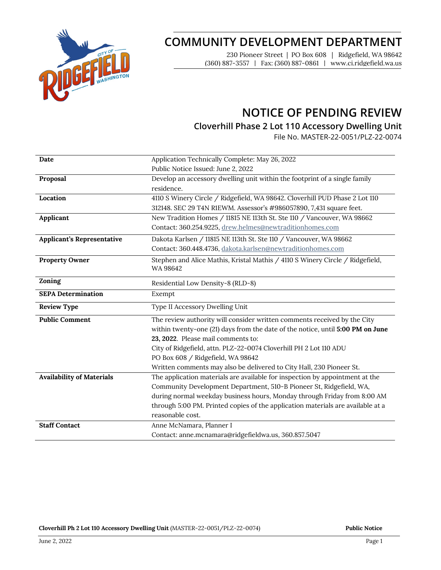

# **COMMUNITY DEVELOPMENT DEPARTMENT**

230 Pioneer Street | PO Box 608 | Ridgefield, WA 98642 (360) 887-3557 | Fax: (360) 887-0861 | www.ci.ridgefield.wa.us

## **NOTICE OF PENDING REVIEW**

## **Cloverhill Phase 2 Lot 110 Accessory Dwelling Unit**

File No. MASTER-22-0051/PLZ-22-0074

| Date                              | Application Technically Complete: May 26, 2022                                            |
|-----------------------------------|-------------------------------------------------------------------------------------------|
|                                   | Public Notice Issued: June 2, 2022                                                        |
| Proposal                          | Develop an accessory dwelling unit within the footprint of a single family                |
|                                   | residence.                                                                                |
| Location                          | 4110 S Winery Circle / Ridgefield, WA 98642. Cloverhill PUD Phase 2 Lot 110               |
|                                   | 312148. SEC 29 T4N R1EWM. Assessor's #986057890, 7,431 square feet.                       |
| Applicant                         | New Tradition Homes / 11815 NE 113th St. Ste 110 / Vancouver, WA 98662                    |
|                                   | Contact: 360.254.9225, drew.helmes@newtraditionhomes.com                                  |
| <b>Applicant's Representative</b> | Dakota Karlsen / 11815 NE 113th St. Ste 110 / Vancouver, WA 98662                         |
|                                   | Contact: 360.448.4736, dakota.karlsen@newtraditionhomes.com                               |
| <b>Property Owner</b>             | Stephen and Alice Mathis, Kristal Mathis / 4110 S Winery Circle / Ridgefield,<br>WA 98642 |
| Zoning                            | Residential Low Density-8 (RLD-8)                                                         |
| <b>SEPA Determination</b>         | Exempt                                                                                    |
| <b>Review Type</b>                | Type II Accessory Dwelling Unit                                                           |
| <b>Public Comment</b>             | The review authority will consider written comments received by the City                  |
|                                   | within twenty-one (21) days from the date of the notice, until 5:00 PM on June            |
|                                   | 23, 2022. Please mail comments to:                                                        |
|                                   | City of Ridgefield, attn. PLZ-22-0074 Cloverhill PH 2 Lot 110 ADU                         |
|                                   | PO Box 608 / Ridgefield, WA 98642                                                         |
|                                   | Written comments may also be delivered to City Hall, 230 Pioneer St.                      |
| <b>Availability of Materials</b>  | The application materials are available for inspection by appointment at the              |
|                                   | Community Development Department, 510-B Pioneer St, Ridgefield, WA,                       |
|                                   | during normal weekday business hours, Monday through Friday from 8:00 AM                  |
|                                   | through 5:00 PM. Printed copies of the application materials are available at a           |
|                                   | reasonable cost.                                                                          |
| <b>Staff Contact</b>              | Anne McNamara, Planner I                                                                  |
|                                   | Contact: anne.mcnamara@ridgefieldwa.us, 360.857.5047                                      |